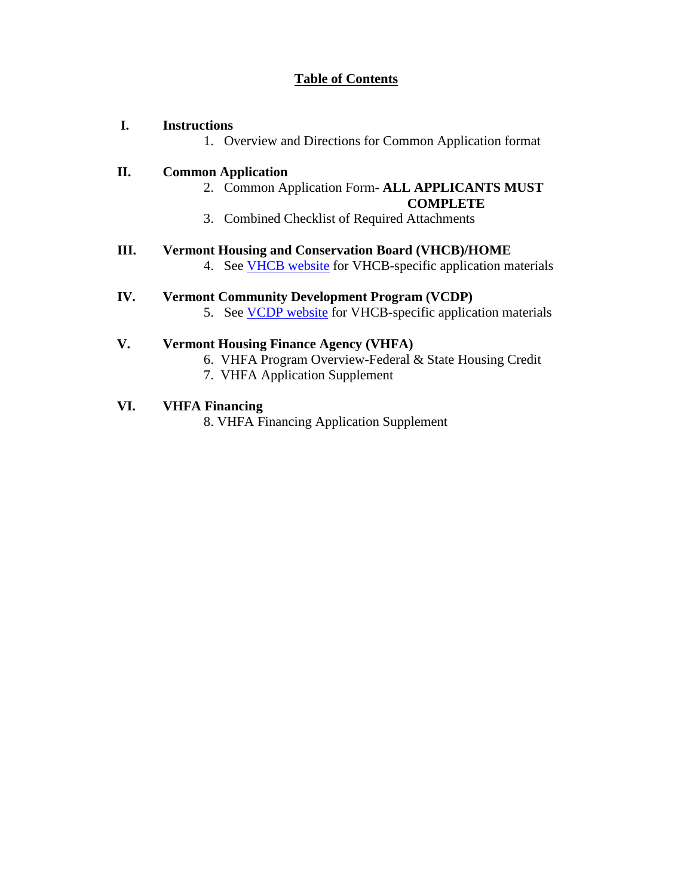# **Table of Contents**

## **I. Instructions**

1. Overview and Directions for Common Application format

#### **II. Common Application**

2. Common Application Form**- ALL APPLICANTS MUST** 

#### **COMPLETE**

3. Combined Checklist of Required Attachments

# **III. Vermont Housing and Conservation Board (VHCB)/HOME**

4. See [VHCB website](http://www.vhcb.org/) for VHCB-specific application materials

#### **IV. Vermont Community Development Program (VCDP)**

5. See [VCDP website](http://accd.vermont.gov/strong_communities/opportunities/funding/vcdp/applicants) for VHCB-specific application materials

# **V. Vermont Housing Finance Agency (VHFA)**

- 6. VHFA Program Overview-Federal & State Housing Credit
- 7. VHFA Application Supplement

# **VI. VHFA Financing**

8. VHFA Financing Application Supplement